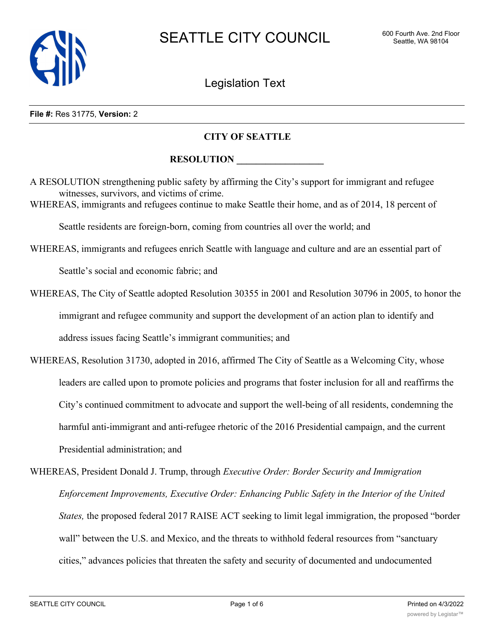

Legislation Text

#### **File #:** Res 31775, **Version:** 2

## **CITY OF SEATTLE**

## **RESOLUTION**

A RESOLUTION strengthening public safety by affirming the City's support for immigrant and refugee witnesses, survivors, and victims of crime. WHEREAS, immigrants and refugees continue to make Seattle their home, and as of 2014, 18 percent of

Seattle residents are foreign-born, coming from countries all over the world; and

WHEREAS, immigrants and refugees enrich Seattle with language and culture and are an essential part of

Seattle's social and economic fabric; and

WHEREAS, The City of Seattle adopted Resolution 30355 in 2001 and Resolution 30796 in 2005, to honor the immigrant and refugee community and support the development of an action plan to identify and address issues facing Seattle's immigrant communities; and

WHEREAS, Resolution 31730, adopted in 2016, affirmed The City of Seattle as a Welcoming City, whose leaders are called upon to promote policies and programs that foster inclusion for all and reaffirms the City's continued commitment to advocate and support the well-being of all residents, condemning the harmful anti-immigrant and anti-refugee rhetoric of the 2016 Presidential campaign, and the current Presidential administration; and

WHEREAS, President Donald J. Trump, through *Executive Order: Border Security and Immigration Enforcement Improvements, Executive Order: Enhancing Public Safety in the Interior of the United States,* the proposed federal 2017 RAISE ACT seeking to limit legal immigration, the proposed "border wall" between the U.S. and Mexico, and the threats to withhold federal resources from "sanctuary cities," advances policies that threaten the safety and security of documented and undocumented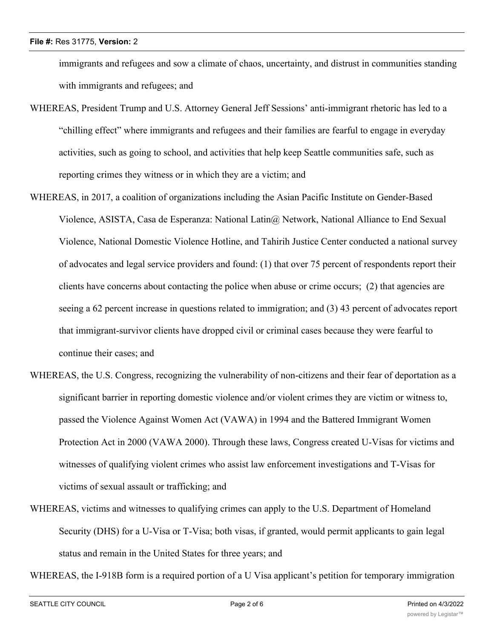immigrants and refugees and sow a climate of chaos, uncertainty, and distrust in communities standing with immigrants and refugees; and

- WHEREAS, President Trump and U.S. Attorney General Jeff Sessions' anti-immigrant rhetoric has led to a "chilling effect" where immigrants and refugees and their families are fearful to engage in everyday activities, such as going to school, and activities that help keep Seattle communities safe, such as reporting crimes they witness or in which they are a victim; and
- WHEREAS, in 2017, a coalition of organizations including the Asian Pacific Institute on Gender-Based Violence, ASISTA, Casa de Esperanza: National Latin@ Network, National Alliance to End Sexual Violence, National Domestic Violence Hotline, and Tahirih Justice Center conducted a national survey of advocates and legal service providers and found: (1) that over 75 percent of respondents report their clients have concerns about contacting the police when abuse or crime occurs; (2) that agencies are seeing a 62 percent increase in questions related to immigration; and (3) 43 percent of advocates report that immigrant-survivor clients have dropped civil or criminal cases because they were fearful to continue their cases; and
- WHEREAS, the U.S. Congress, recognizing the vulnerability of non-citizens and their fear of deportation as a significant barrier in reporting domestic violence and/or violent crimes they are victim or witness to, passed the Violence Against Women Act (VAWA) in 1994 and the Battered Immigrant Women Protection Act in 2000 (VAWA 2000). Through these laws, Congress created U-Visas for victims and witnesses of qualifying violent crimes who assist law enforcement investigations and T-Visas for victims of sexual assault or trafficking; and
- WHEREAS, victims and witnesses to qualifying crimes can apply to the U.S. Department of Homeland Security (DHS) for a U-Visa or T-Visa; both visas, if granted, would permit applicants to gain legal status and remain in the United States for three years; and

WHEREAS, the I-918B form is a required portion of a U Visa applicant's petition for temporary immigration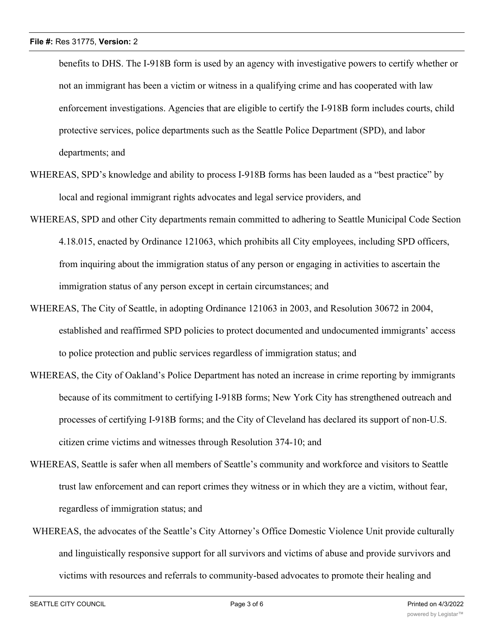benefits to DHS. The I-918B form is used by an agency with investigative powers to certify whether or not an immigrant has been a victim or witness in a qualifying crime and has cooperated with law enforcement investigations. Agencies that are eligible to certify the I-918B form includes courts, child protective services, police departments such as the Seattle Police Department (SPD), and labor departments; and

- WHEREAS, SPD's knowledge and ability to process I-918B forms has been lauded as a "best practice" by local and regional immigrant rights advocates and legal service providers, and
- WHEREAS, SPD and other City departments remain committed to adhering to Seattle Municipal Code Section 4.18.015, enacted by Ordinance 121063, which prohibits all City employees, including SPD officers, from inquiring about the immigration status of any person or engaging in activities to ascertain the immigration status of any person except in certain circumstances; and
- WHEREAS, The City of Seattle, in adopting Ordinance 121063 in 2003, and Resolution 30672 in 2004, established and reaffirmed SPD policies to protect documented and undocumented immigrants' access to police protection and public services regardless of immigration status; and
- WHEREAS, the City of Oakland's Police Department has noted an increase in crime reporting by immigrants because of its commitment to certifying I-918B forms; New York City has strengthened outreach and processes of certifying I-918B forms; and the City of Cleveland has declared its support of non-U.S. citizen crime victims and witnesses through Resolution 374-10; and
- WHEREAS, Seattle is safer when all members of Seattle's community and workforce and visitors to Seattle trust law enforcement and can report crimes they witness or in which they are a victim, without fear, regardless of immigration status; and
- WHEREAS, the advocates of the Seattle's City Attorney's Office Domestic Violence Unit provide culturally and linguistically responsive support for all survivors and victims of abuse and provide survivors and victims with resources and referrals to community-based advocates to promote their healing and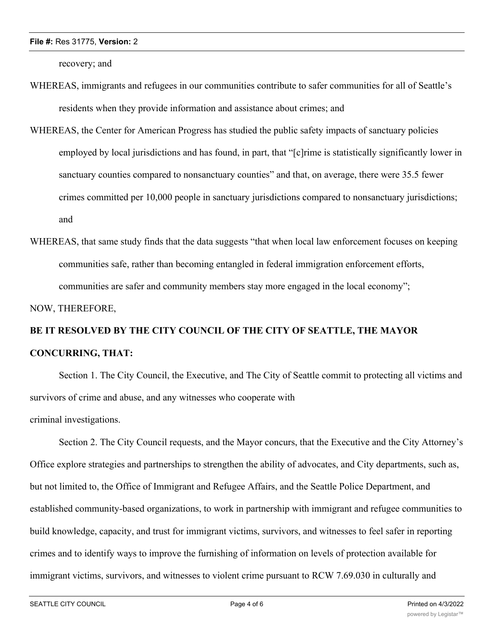recovery; and

- WHEREAS, immigrants and refugees in our communities contribute to safer communities for all of Seattle's residents when they provide information and assistance about crimes; and
- WHEREAS, the Center for American Progress has studied the public safety impacts of sanctuary policies employed by local jurisdictions and has found, in part, that "[c]rime is statistically significantly lower in sanctuary counties compared to nonsanctuary counties" and that, on average, there were 35.5 fewer crimes committed per 10,000 people in sanctuary jurisdictions compared to nonsanctuary jurisdictions; and
- WHEREAS, that same study finds that the data suggests "that when local law enforcement focuses on keeping communities safe, rather than becoming entangled in federal immigration enforcement efforts, communities are safer and community members stay more engaged in the local economy";

NOW, THEREFORE,

# **BE IT RESOLVED BY THE CITY COUNCIL OF THE CITY OF SEATTLE, THE MAYOR CONCURRING, THAT:**

Section 1. The City Council, the Executive, and The City of Seattle commit to protecting all victims and survivors of crime and abuse, and any witnesses who cooperate with criminal investigations.

Section 2. The City Council requests, and the Mayor concurs, that the Executive and the City Attorney's Office explore strategies and partnerships to strengthen the ability of advocates, and City departments, such as, but not limited to, the Office of Immigrant and Refugee Affairs, and the Seattle Police Department, and established community-based organizations, to work in partnership with immigrant and refugee communities to build knowledge, capacity, and trust for immigrant victims, survivors, and witnesses to feel safer in reporting crimes and to identify ways to improve the furnishing of information on levels of protection available for immigrant victims, survivors, and witnesses to violent crime pursuant to RCW 7.69.030 in culturally and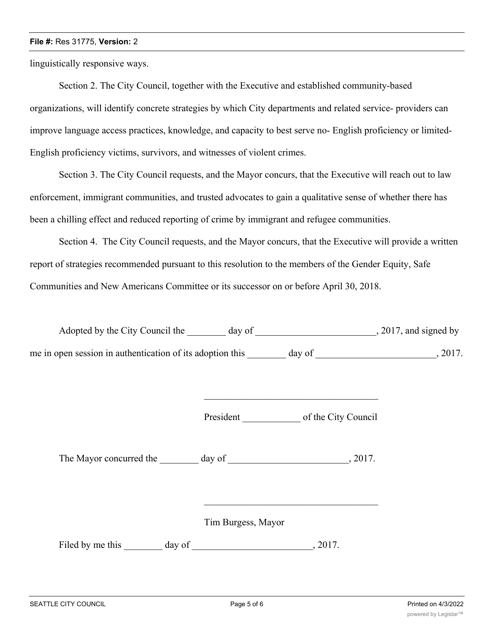### **File #:** Res 31775, **Version:** 2

linguistically responsive ways.

Section 2. The City Council, together with the Executive and established community-based organizations, will identify concrete strategies by which City departments and related service- providers can improve language access practices, knowledge, and capacity to best serve no- English proficiency or limited-English proficiency victims, survivors, and witnesses of violent crimes.

Section 3. The City Council requests, and the Mayor concurs, that the Executive will reach out to law enforcement, immigrant communities, and trusted advocates to gain a qualitative sense of whether there has been a chilling effect and reduced reporting of crime by immigrant and refugee communities.

Section 4. The City Council requests, and the Mayor concurs, that the Executive will provide a written report of strategies recommended pursuant to this resolution to the members of the Gender Equity, Safe Communities and New Americans Committee or its successor on or before April 30, 2018.

| Adopted by the City Council the                           | day of |        | $, 2017,$ and signed by |
|-----------------------------------------------------------|--------|--------|-------------------------|
| me in open session in authentication of its adoption this |        | day of | 2017.                   |

President \_\_\_\_\_\_\_\_\_\_\_\_ of the City Council

\_\_\_\_\_\_\_\_\_\_\_\_\_\_\_\_\_\_\_\_\_\_\_\_\_\_\_\_\_\_\_\_\_\_\_\_

The Mayor concurred the \_\_\_\_\_\_\_ day of \_\_\_\_\_\_\_\_\_\_\_\_\_\_\_\_\_\_\_\_\_\_\_\_, 2017.

Tim Burgess, Mayor

Filed by me this day of , 2017.